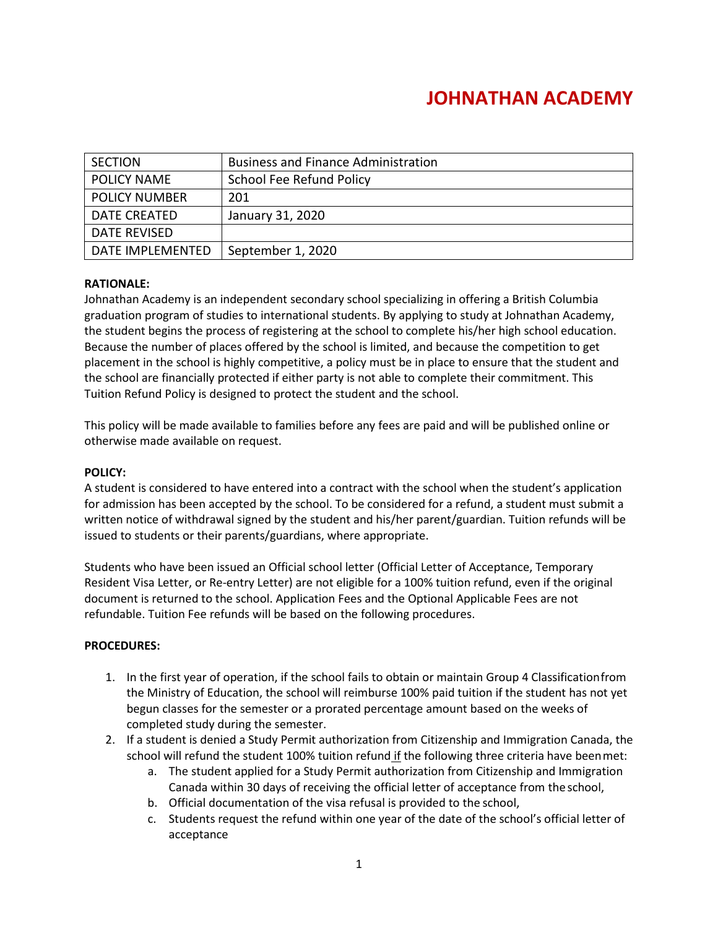# **JOHNATHAN ACADEMY**

| <b>SECTION</b>       | <b>Business and Finance Administration</b> |
|----------------------|--------------------------------------------|
| <b>POLICY NAME</b>   | School Fee Refund Policy                   |
| <b>POLICY NUMBER</b> | 201                                        |
| DATE CREATED         | January 31, 2020                           |
| DATE REVISED         |                                            |
| DATE IMPLEMENTED     | September 1, 2020                          |

#### **RATIONALE:**

Johnathan Academy is an independent secondary school specializing in offering a British Columbia graduation program of studies to international students. By applying to study at Johnathan Academy, the student begins the process of registering at the school to complete his/her high school education. Because the number of places offered by the school is limited, and because the competition to get placement in the school is highly competitive, a policy must be in place to ensure that the student and the school are financially protected if either party is not able to complete their commitment. This Tuition Refund Policy is designed to protect the student and the school.

This policy will be made available to families before any fees are paid and will be published online or otherwise made available on request.

#### **POLICY:**

A student is considered to have entered into a contract with the school when the student's application for admission has been accepted by the school. To be considered for a refund, a student must submit a written notice of withdrawal signed by the student and his/her parent/guardian. Tuition refunds will be issued to students or their parents/guardians, where appropriate.

Students who have been issued an Official school letter (Official Letter of Acceptance, Temporary Resident Visa Letter, or Re-entry Letter) are not eligible for a 100% tuition refund, even if the original document is returned to the school. Application Fees and the Optional Applicable Fees are not refundable. Tuition Fee refunds will be based on the following procedures.

#### **PROCEDURES:**

- 1. In the first year of operation, if the school fails to obtain or maintain Group 4 Classificationfrom the Ministry of Education, the school will reimburse 100% paid tuition if the student has not yet begun classes for the semester or a prorated percentage amount based on the weeks of completed study during the semester.
- 2. If a student is denied a Study Permit authorization from Citizenship and Immigration Canada, the school will refund the student 100% tuition refund if the following three criteria have beenmet:
	- a. The student applied for a Study Permit authorization from Citizenship and Immigration Canada within 30 days of receiving the official letter of acceptance from the school,
	- b. Official documentation of the visa refusal is provided to the school,
	- c. Students request the refund within one year of the date of the school's official letter of acceptance